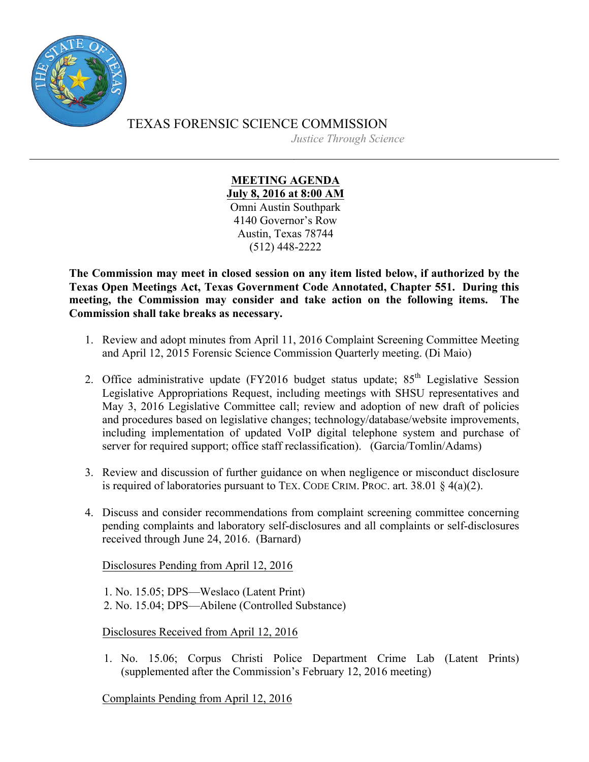

TEXAS FORENSIC SCIENCE COMMISSION *Justice Through Science*

> **MEETING AGENDA July 8, 2016 at 8:00 AM** Omni Austin Southpark 4140 Governor's Row Austin, Texas 78744 (512) 448-2222

**The Commission may meet in closed session on any item listed below, if authorized by the Texas Open Meetings Act, Texas Government Code Annotated, Chapter 551. During this meeting, the Commission may consider and take action on the following items. The Commission shall take breaks as necessary.**

- 1. Review and adopt minutes from April 11, 2016 Complaint Screening Committee Meeting and April 12, 2015 Forensic Science Commission Quarterly meeting. (Di Maio)
- 2. Office administrative update (FY2016 budget status update;  $85<sup>th</sup>$  Legislative Session Legislative Appropriations Request, including meetings with SHSU representatives and May 3, 2016 Legislative Committee call; review and adoption of new draft of policies and procedures based on legislative changes; technology/database/website improvements, including implementation of updated VoIP digital telephone system and purchase of server for required support; office staff reclassification). (Garcia/Tomlin/Adams)
- 3. Review and discussion of further guidance on when negligence or misconduct disclosure is required of laboratories pursuant to TEX. CODE CRIM. PROC. art. 38.01 § 4(a)(2).
- 4. Discuss and consider recommendations from complaint screening committee concerning pending complaints and laboratory self-disclosures and all complaints or self-disclosures received through June 24, 2016. (Barnard)

Disclosures Pending from April 12, 2016

1. No. 15.05; DPS—Weslaco (Latent Print) 2. No. 15.04; DPS—Abilene (Controlled Substance)

Disclosures Received from April 12, 2016

1. No. 15.06; Corpus Christi Police Department Crime Lab (Latent Prints) (supplemented after the Commission's February 12, 2016 meeting)

Complaints Pending from April 12, 2016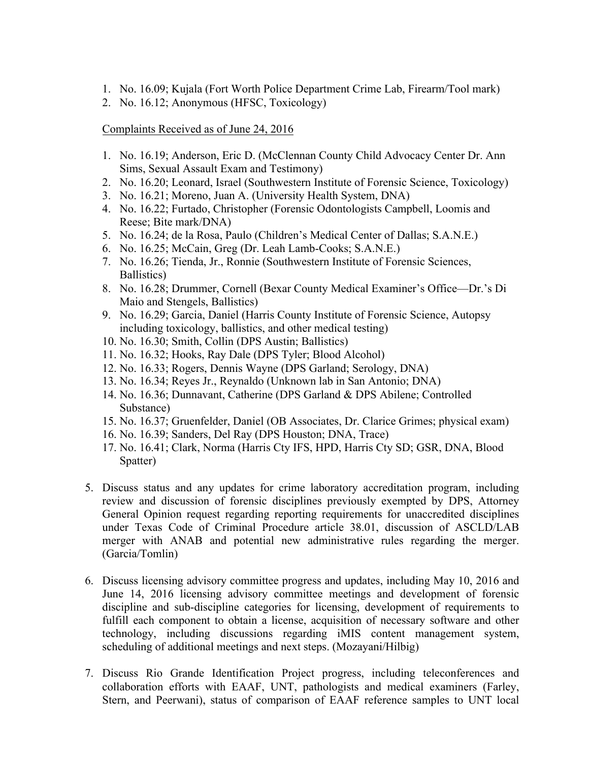- 1. No. 16.09; Kujala (Fort Worth Police Department Crime Lab, Firearm/Tool mark)
- 2. No. 16.12; Anonymous (HFSC, Toxicology)

Complaints Received as of June 24, 2016

- 1. No. 16.19; Anderson, Eric D. (McClennan County Child Advocacy Center Dr. Ann Sims, Sexual Assault Exam and Testimony)
- 2. No. 16.20; Leonard, Israel (Southwestern Institute of Forensic Science, Toxicology)
- 3. No. 16.21; Moreno, Juan A. (University Health System, DNA)
- 4. No. 16.22; Furtado, Christopher (Forensic Odontologists Campbell, Loomis and Reese; Bite mark/DNA)
- 5. No. 16.24; de la Rosa, Paulo (Children's Medical Center of Dallas; S.A.N.E.)
- 6. No. 16.25; McCain, Greg (Dr. Leah Lamb-Cooks; S.A.N.E.)
- 7. No. 16.26; Tienda, Jr., Ronnie (Southwestern Institute of Forensic Sciences, Ballistics)
- 8. No. 16.28; Drummer, Cornell (Bexar County Medical Examiner's Office—Dr.'s Di Maio and Stengels, Ballistics)
- 9. No. 16.29; Garcia, Daniel (Harris County Institute of Forensic Science, Autopsy including toxicology, ballistics, and other medical testing)
- 10. No. 16.30; Smith, Collin (DPS Austin; Ballistics)
- 11. No. 16.32; Hooks, Ray Dale (DPS Tyler; Blood Alcohol)
- 12. No. 16.33; Rogers, Dennis Wayne (DPS Garland; Serology, DNA)
- 13. No. 16.34; Reyes Jr., Reynaldo (Unknown lab in San Antonio; DNA)
- 14. No. 16.36; Dunnavant, Catherine (DPS Garland & DPS Abilene; Controlled Substance)
- 15. No. 16.37; Gruenfelder, Daniel (OB Associates, Dr. Clarice Grimes; physical exam)
- 16. No. 16.39; Sanders, Del Ray (DPS Houston; DNA, Trace)
- 17. No. 16.41; Clark, Norma (Harris Cty IFS, HPD, Harris Cty SD; GSR, DNA, Blood Spatter)
- 5. Discuss status and any updates for crime laboratory accreditation program, including review and discussion of forensic disciplines previously exempted by DPS, Attorney General Opinion request regarding reporting requirements for unaccredited disciplines under Texas Code of Criminal Procedure article 38.01, discussion of ASCLD/LAB merger with ANAB and potential new administrative rules regarding the merger. (Garcia/Tomlin)
- 6. Discuss licensing advisory committee progress and updates, including May 10, 2016 and June 14, 2016 licensing advisory committee meetings and development of forensic discipline and sub-discipline categories for licensing, development of requirements to fulfill each component to obtain a license, acquisition of necessary software and other technology, including discussions regarding iMIS content management system, scheduling of additional meetings and next steps. (Mozayani/Hilbig)
- 7. Discuss Rio Grande Identification Project progress, including teleconferences and collaboration efforts with EAAF, UNT, pathologists and medical examiners (Farley, Stern, and Peerwani), status of comparison of EAAF reference samples to UNT local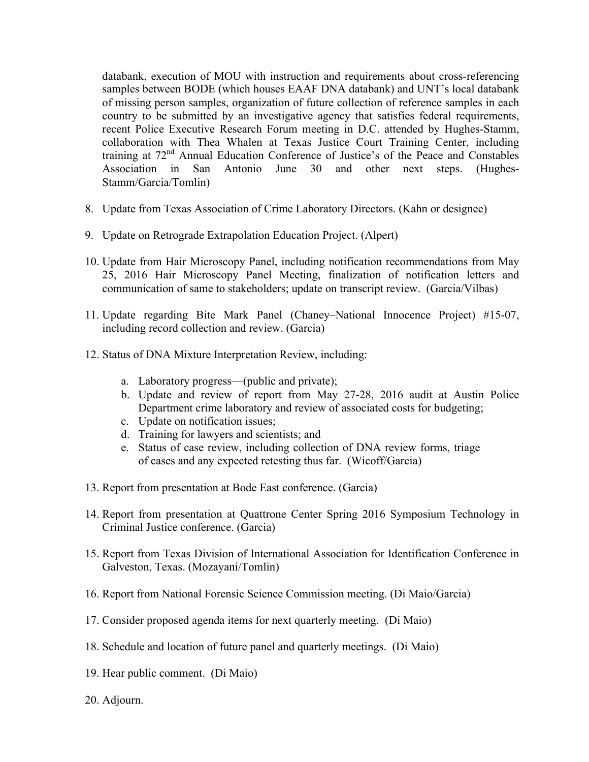databank, execution of MOU with instruction and requirements about cross-referencing samples between BODE (which houses EAAF DNA databank) and UNT's local databank of missing person samples, organization of future collection of reference samples in each country to be submitted by an investigative agency that satisfies federal requirements, recent Police Executive Research Forum meeting in D.C. attended by Hughes-Stamm, collaboration with Thea Whalen at Texas Justice Court Training Center, including training at 72nd Annual Education Conference of Justice's of the Peace and Constables Association in San Antonio June 30 and other next steps. (Hughes-Stamm/Garcia/Tomlin)

- 8. Update from Texas Association of Crime Laboratory Directors. (Kahn or designee)
- 9. Update on Retrograde Extrapolation Education Project. (Alpert)
- 10. Update from Hair Microscopy Panel, including notification recommendations from May 25, 2016 Hair Microscopy Panel Meeting, finalization of notification letters and communication of same to stakeholders; update on transcript review. (Garcia/Vilbas)
- 11. Update regarding Bite Mark Panel (Chaney–National Innocence Project) #15-07, including record collection and review. (Garcia)
- 12. Status of DNA Mixture Interpretation Review, including:
	- a. Laboratory progress—(public and private);
	- b. Update and review of report from May 27-28, 2016 audit at Austin Police Department crime laboratory and review of associated costs for budgeting;
	- c. Update on notification issues;
	- d. Training for lawyers and scientists; and
	- e. Status of case review, including collection of DNA review forms, triage of cases and any expected retesting thus far. (Wicoff/Garcia)
- 13. Report from presentation at Bode East conference. (Garcia)
- 14. Report from presentation at Quattrone Center Spring 2016 Symposium Technology in Criminal Justice conference. (Garcia)
- 15. Report from Texas Division of International Association for Identification Conference in Galveston, Texas. (Mozayani/Tomlin)
- 16. Report from National Forensic Science Commission meeting. (Di Maio/Garcia)
- 17. Consider proposed agenda items for next quarterly meeting. (Di Maio)
- 18. Schedule and location of future panel and quarterly meetings. (Di Maio)
- 19. Hear public comment. (Di Maio)
- 20. Adjourn.